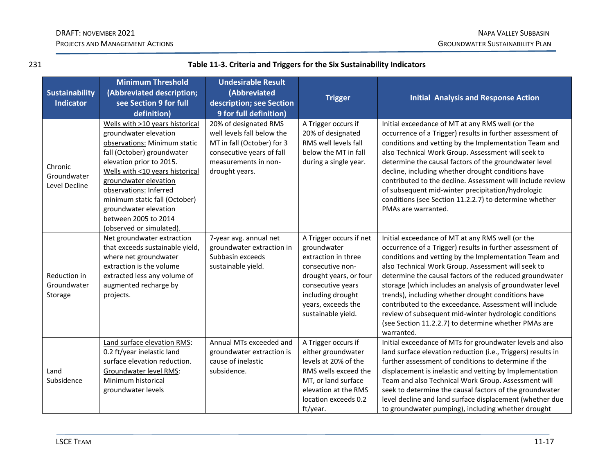## DRAFT: NOVEMBER 2021 NAPA VALLEY SUBBASIN PROJECTS AND MANAGEMENT ACTIONS GROUNDWATER SUSTAINABILITY PLAN

| 231                                       |                                                                                                                                                                                                                                                                                                                                                        | Table 11-3. Criteria and Triggers for the Six Sustainability Indicators                                                                                  |                                                                                                                                                                                                   |                                                                                                                                                                                                                                                                                                                                                                                                                                                                                                                                                                                                    |  |  |
|-------------------------------------------|--------------------------------------------------------------------------------------------------------------------------------------------------------------------------------------------------------------------------------------------------------------------------------------------------------------------------------------------------------|----------------------------------------------------------------------------------------------------------------------------------------------------------|---------------------------------------------------------------------------------------------------------------------------------------------------------------------------------------------------|----------------------------------------------------------------------------------------------------------------------------------------------------------------------------------------------------------------------------------------------------------------------------------------------------------------------------------------------------------------------------------------------------------------------------------------------------------------------------------------------------------------------------------------------------------------------------------------------------|--|--|
| <b>Sustainability</b><br><b>Indicator</b> | <b>Minimum Threshold</b><br>(Abbreviated description;<br>see Section 9 for full<br>definition)                                                                                                                                                                                                                                                         | <b>Undesirable Result</b><br>(Abbreviated<br>description; see Section<br>9 for full definition)                                                          | <b>Trigger</b>                                                                                                                                                                                    | <b>Initial Analysis and Response Action</b>                                                                                                                                                                                                                                                                                                                                                                                                                                                                                                                                                        |  |  |
| Chronic<br>Groundwater<br>Level Decline   | Wells with >10 years historical<br>groundwater elevation<br>observations: Minimum static<br>fall (October) groundwater<br>elevation prior to 2015.<br>Wells with <10 years historical<br>groundwater elevation<br>observations: Inferred<br>minimum static fall (October)<br>groundwater elevation<br>between 2005 to 2014<br>(observed or simulated). | 20% of designated RMS<br>well levels fall below the<br>MT in fall (October) for 3<br>consecutive years of fall<br>measurements in non-<br>drought years. | A Trigger occurs if<br>20% of designated<br>RMS well levels fall<br>below the MT in fall<br>during a single year.                                                                                 | Initial exceedance of MT at any RMS well (or the<br>occurrence of a Trigger) results in further assessment of<br>conditions and vetting by the Implementation Team and<br>also Technical Work Group. Assessment will seek to<br>determine the causal factors of the groundwater level<br>decline, including whether drought conditions have<br>contributed to the decline. Assessment will include review<br>of subsequent mid-winter precipitation/hydrologic<br>conditions (see Section 11.2.2.7) to determine whether<br>PMAs are warranted.                                                    |  |  |
| Reduction in<br>Groundwater<br>Storage    | Net groundwater extraction<br>that exceeds sustainable yield,<br>where net groundwater<br>extraction is the volume<br>extracted less any volume of<br>augmented recharge by<br>projects.                                                                                                                                                               | 7-year avg. annual net<br>groundwater extraction in<br>Subbasin exceeds<br>sustainable yield.                                                            | A Trigger occurs if net<br>groundwater<br>extraction in three<br>consecutive non-<br>drought years, or four<br>consecutive years<br>including drought<br>years, exceeds the<br>sustainable yield. | Initial exceedance of MT at any RMS well (or the<br>occurrence of a Trigger) results in further assessment of<br>conditions and vetting by the Implementation Team and<br>also Technical Work Group. Assessment will seek to<br>determine the causal factors of the reduced groundwater<br>storage (which includes an analysis of groundwater level<br>trends), including whether drought conditions have<br>contributed to the exceedance. Assessment will include<br>review of subsequent mid-winter hydrologic conditions<br>(see Section 11.2.2.7) to determine whether PMAs are<br>warranted. |  |  |
| Land<br>Subsidence                        | Land surface elevation RMS:<br>0.2 ft/year inelastic land<br>surface elevation reduction.<br>Groundwater level RMS:<br>Minimum historical<br>groundwater levels                                                                                                                                                                                        | Annual MTs exceeded and<br>groundwater extraction is<br>cause of inelastic<br>subsidence.                                                                | A Trigger occurs if<br>either groundwater<br>levels at 20% of the<br>RMS wells exceed the<br>MT, or land surface<br>elevation at the RMS<br>location exceeds 0.2<br>ft/year.                      | Initial exceedance of MTs for groundwater levels and also<br>land surface elevation reduction (i.e., Triggers) results in<br>further assessment of conditions to determine if the<br>displacement is inelastic and vetting by Implementation<br>Team and also Technical Work Group. Assessment will<br>seek to determine the causal factors of the groundwater<br>level decline and land surface displacement (whether due<br>to groundwater pumping), including whether drought                                                                                                                   |  |  |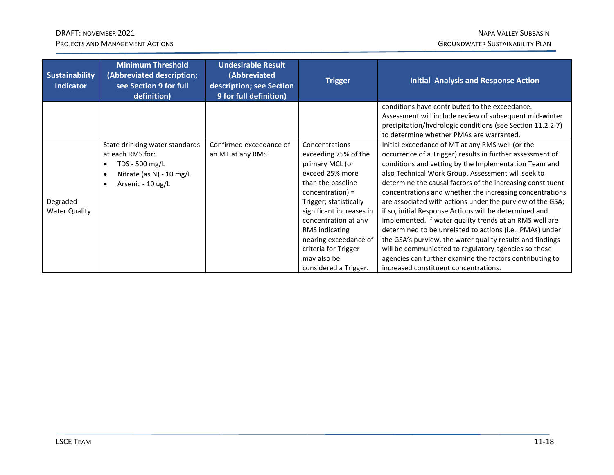## DRAFT: NOVEMBER 2021 NAPA VALLEY SUBBASIN PROJECTS AND MANAGEMENT ACTIONS CONTROLLER SUSTAINABILITY PLAN

| <b>Sustainability</b><br><b>Indicator</b> | <b>Minimum Threshold</b><br>(Abbreviated description;<br>see Section 9 for full<br>definition)                        | <b>Undesirable Result</b><br>(Abbreviated<br>description; see Section<br>9 for full definition) | <b>Trigger</b>                                                                                                                                                                                                                                                                                                           | <b>Initial Analysis and Response Action</b>                                                                                                                                                                                                                                                                                                                                                                                                                                                                                                                                                                                                                                                                                                                                                                                    |
|-------------------------------------------|-----------------------------------------------------------------------------------------------------------------------|-------------------------------------------------------------------------------------------------|--------------------------------------------------------------------------------------------------------------------------------------------------------------------------------------------------------------------------------------------------------------------------------------------------------------------------|--------------------------------------------------------------------------------------------------------------------------------------------------------------------------------------------------------------------------------------------------------------------------------------------------------------------------------------------------------------------------------------------------------------------------------------------------------------------------------------------------------------------------------------------------------------------------------------------------------------------------------------------------------------------------------------------------------------------------------------------------------------------------------------------------------------------------------|
|                                           |                                                                                                                       |                                                                                                 |                                                                                                                                                                                                                                                                                                                          | conditions have contributed to the exceedance.<br>Assessment will include review of subsequent mid-winter<br>precipitation/hydrologic conditions (see Section 11.2.2.7)<br>to determine whether PMAs are warranted.                                                                                                                                                                                                                                                                                                                                                                                                                                                                                                                                                                                                            |
| Degraded<br><b>Water Quality</b>          | State drinking water standards<br>at each RMS for:<br>TDS - 500 mg/L<br>Nitrate (as N) - 10 mg/L<br>Arsenic - 10 ug/L | Confirmed exceedance of<br>an MT at any RMS.                                                    | Concentrations<br>exceeding 75% of the<br>primary MCL (or<br>exceed 25% more<br>than the baseline<br>$concentration$ ) =<br>Trigger; statistically<br>significant increases in<br>concentration at any<br><b>RMS</b> indicating<br>nearing exceedance of<br>criteria for Trigger<br>may also be<br>considered a Trigger. | Initial exceedance of MT at any RMS well (or the<br>occurrence of a Trigger) results in further assessment of<br>conditions and vetting by the Implementation Team and<br>also Technical Work Group. Assessment will seek to<br>determine the causal factors of the increasing constituent<br>concentrations and whether the increasing concentrations<br>are associated with actions under the purview of the GSA;<br>if so, initial Response Actions will be determined and<br>implemented. If water quality trends at an RMS well are<br>determined to be unrelated to actions (i.e., PMAs) under<br>the GSA's purview, the water quality results and findings<br>will be communicated to regulatory agencies so those<br>agencies can further examine the factors contributing to<br>increased constituent concentrations. |